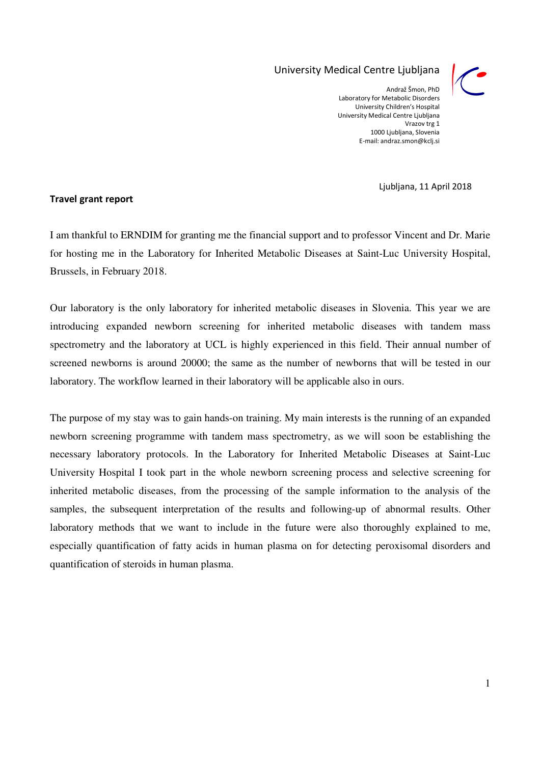## University Medical Centre Ljubljana



Andraž Šmon, PhD Laboratory for Metabolic Disorders University Children's Hospital University Medical Centre Ljubljana Vrazov trg 1 1000 Ljubljana, Slovenia E-mail: andraz.smon@kclj.si

Ljubljana, 11 April 2018

## Travel grant report

I am thankful to ERNDIM for granting me the financial support and to professor Vincent and Dr. Marie for hosting me in the Laboratory for Inherited Metabolic Diseases at Saint-Luc University Hospital, Brussels, in February 2018.

Our laboratory is the only laboratory for inherited metabolic diseases in Slovenia. This year we are introducing expanded newborn screening for inherited metabolic diseases with tandem mass spectrometry and the laboratory at UCL is highly experienced in this field. Their annual number of screened newborns is around 20000; the same as the number of newborns that will be tested in our laboratory. The workflow learned in their laboratory will be applicable also in ours.

The purpose of my stay was to gain hands-on training. My main interests is the running of an expanded newborn screening programme with tandem mass spectrometry, as we will soon be establishing the necessary laboratory protocols. In the Laboratory for Inherited Metabolic Diseases at Saint-Luc University Hospital I took part in the whole newborn screening process and selective screening for inherited metabolic diseases, from the processing of the sample information to the analysis of the samples, the subsequent interpretation of the results and following-up of abnormal results. Other laboratory methods that we want to include in the future were also thoroughly explained to me, especially quantification of fatty acids in human plasma on for detecting peroxisomal disorders and quantification of steroids in human plasma.